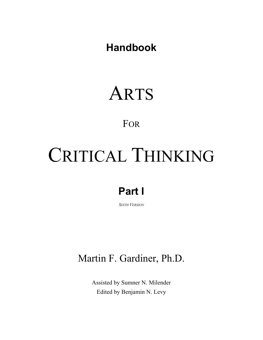**Handbook**

## ARTS

#### FOR

# CRITICAL THINKING

## **Part I**

*SIXTH VERSION*

### Martin F. Gardiner, Ph.D.

Assisted by Sumner N. Milender Edited by Benjamin N. Levy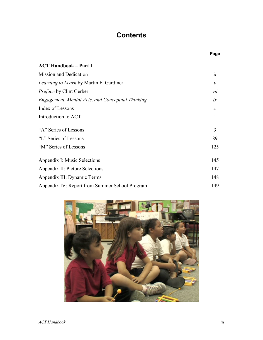#### **Contents**

|                                                  | Page          |
|--------------------------------------------------|---------------|
| <b>ACT Handbook – Part I</b>                     |               |
| <b>Mission and Dedication</b>                    | ii            |
| Learning to Learn by Martin F. Gardiner          | $\mathcal V$  |
| <i>Preface</i> by Clint Gerber                   | vii           |
| Engagement, Mental Acts, and Conceptual Thinking | ix            |
| Index of Lessons                                 | $\mathcal{X}$ |
| Introduction to ACT                              | 1             |
| "A" Series of Lessons                            | 3             |
| "L" Series of Lessons                            | 89            |
| "M" Series of Lessons                            | 125           |
| Appendix I: Music Selections                     | 145           |
| Appendix II: Picture Selections                  | 147           |
| Appendix III: Dynamic Terms                      | 148           |
| Appendix IV: Report from Summer School Program   | 149           |

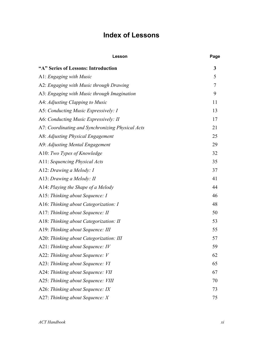#### **Index of Lessons**

| Lesson                                           | Page   |
|--------------------------------------------------|--------|
| "A" Series of Lessons: Introduction              | 3      |
| A1: Engaging with Music                          | 5      |
| A2: Engaging with Music through Drawing          | $\tau$ |
| A3: Engaging with Music through Imagination      | 9      |
| A4: Adjusting Clapping to Music                  | 11     |
| A5: Conducting Music Expressively: I             | 13     |
| A6: Conducting Music Expressively: II            | 17     |
| A7: Coordinating and Synchronizing Physical Acts | 21     |
| A8: Adjusting Physical Engagement                | 25     |
| A9: Adjusting Mental Engagement                  | 29     |
| A10: Two Types of Knowledge                      | 32     |
| A11: Sequencing Physical Acts                    | 35     |
| A12: Drawing a Melody: I                         | 37     |
| A13: Drawing a Melody: II                        | 41     |
| A14: Playing the Shape of a Melody               | 44     |
| A15: Thinking about Sequence: I                  | 46     |
| A16: Thinking about Categorization: I            | 48     |
| A17: Thinking about Sequence: II                 | 50     |
| A18: Thinking about Categorization: II           | 53     |
| A19: Thinking about Sequence: III                | 55     |
| A20: Thinking about Categorization: III          | 57     |
| A21: Thinking about Sequence: IV                 | 59     |
| A22: Thinking about Sequence: V                  | 62     |
| A23: Thinking about Sequence: VI                 | 65     |
| A24: Thinking about Sequence: VII                | 67     |
| A25: Thinking about Sequence: VIII               | 70     |
| A26: Thinking about Sequence: IX                 | 73     |
| A27: Thinking about Sequence: X                  | 75     |